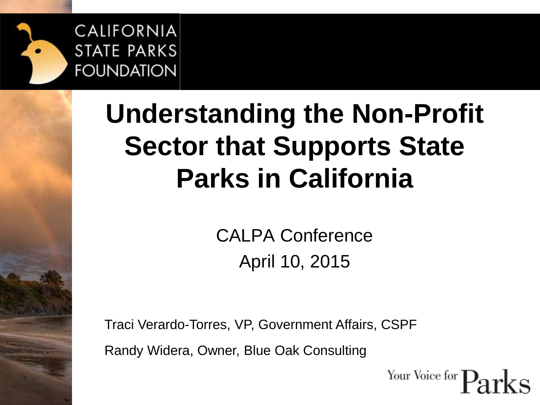

#### **Understanding the Non-Profit Sector that Supports State Parks in California**

CALPA Conference April 10, 2015

Traci Verardo-Torres, VP, Government Affairs, CSPF Randy Widera, Owner, Blue Oak Consulting

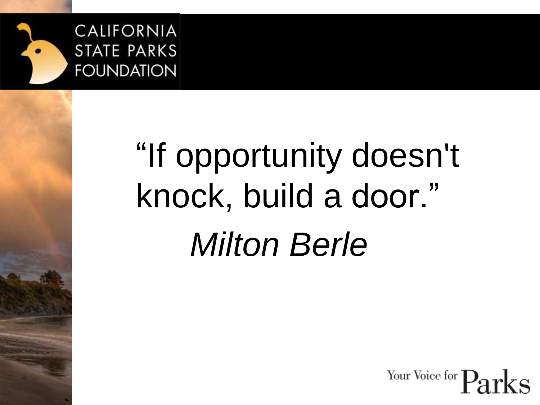

# "If opportunity doesn't knock, build a door." *Milton Berle*

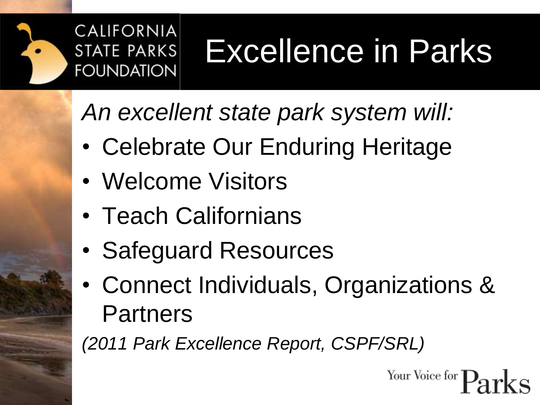

#### Excellence in Parks

*An excellent state park system will:* 

- Celebrate Our Enduring Heritage
- Welcome Visitors
- Teach Californians
- Safeguard Resources
- Connect Individuals, Organizations & **Partners**

*(2011 Park Excellence Report, CSPF/SRL)*

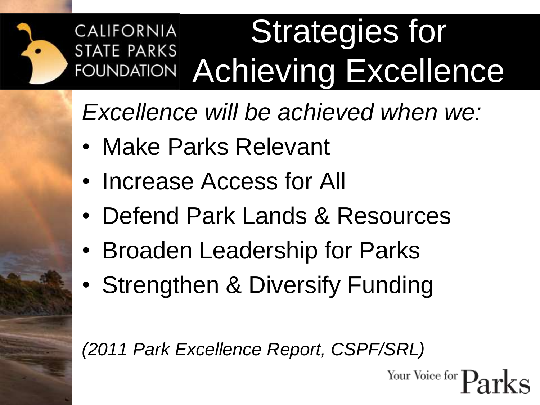#### **Strategies for CALIFORNIA STATE PARKS** FOUNDATION Achieving Excellence

*Excellence will be achieved when we:*

- Make Parks Relevant
- Increase Access for All
- Defend Park Lands & Resources
- Broaden Leadership for Parks
- Strengthen & Diversify Funding

*(2011 Park Excellence Report, CSPF/SRL)*

Your Voice for 7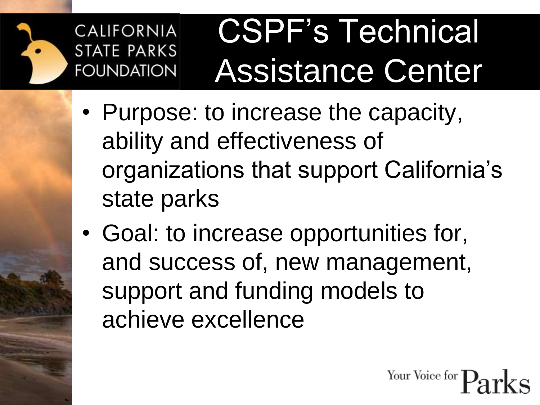

### CSPF's Technical Assistance Center

- Purpose: to increase the capacity, ability and effectiveness of organizations that support California's state parks
- Goal: to increase opportunities for, and success of, new management, support and funding models to achieve excellence

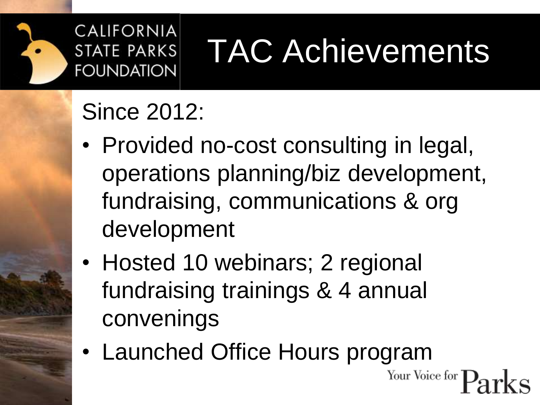

### TAC Achievements

#### Since 2012:

- Provided no-cost consulting in legal, operations planning/biz development, fundraising, communications & org development
- Hosted 10 webinars; 2 regional fundraising trainings & 4 annual convenings
- Launched Office Hours programYour Voice for **T**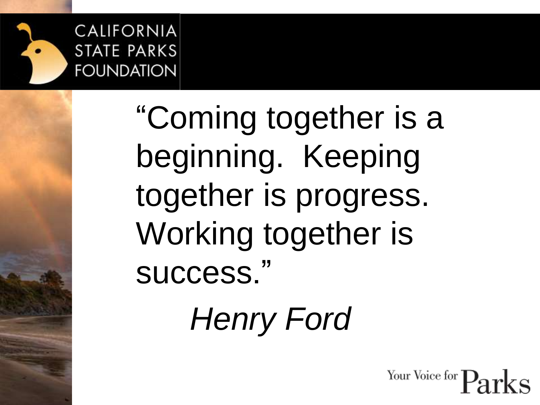

"Coming together is a beginning. Keeping together is progress. Working together is success."

*Henry Ford*